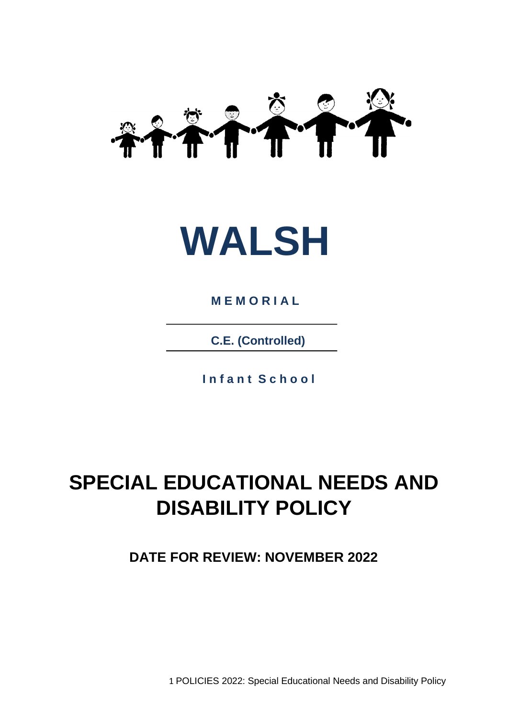



**M E M O R I A L**

**C.E. (Controlled)**

**I n f a n t S c h o o l**

# **SPECIAL EDUCATIONAL NEEDS AND DISABILITY POLICY**

**DATE FOR REVIEW: NOVEMBER 2022**

1 POLICIES 2022: Special Educational Needs and Disability Policy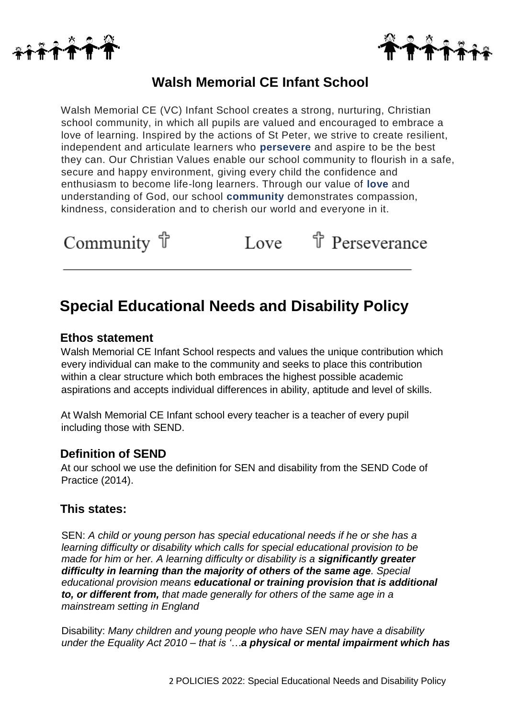



# **Walsh Memorial CE Infant School**

Walsh Memorial CE (VC) Infant School creates a strong, nurturing, Christian school community, in which all pupils are valued and encouraged to embrace a love of learning. Inspired by the actions of St Peter, we strive to create resilient, independent and articulate learners who **persevere** and aspire to be the best they can. Our Christian Values enable our school community to flourish in a safe, secure and happy environment, giving every child the confidence and enthusiasm to become life-long learners. Through our value of **love** and understanding of God, our school **community** demonstrates compassion, kindness, consideration and to cherish our world and everyone in it.

<sup></sup> Perseverance Community f Love

# **Special Educational Needs and Disability Policy**

### **Ethos statement**

Walsh Memorial CE Infant School respects and values the unique contribution which every individual can make to the community and seeks to place this contribution within a clear structure which both embraces the highest possible academic aspirations and accepts individual differences in ability, aptitude and level of skills.

At Walsh Memorial CE Infant school every teacher is a teacher of every pupil including those with SEND.

### **Definition of SEND**

At our school we use the definition for SEN and disability from the SEND Code of Practice (2014).

### **This states:**

SEN: *A child or young person has special educational needs if he or she has a learning difficulty or disability which calls for special educational provision to be made for him or her. A learning difficulty or disability is a <i>significantly greater difficulty in learning than the majority of others of the same age. Special educational provision means educational or training provision that is additional to, or different from, that made generally for others of the same age in a mainstream setting in England* 

Disability: *Many children and young people who have SEN may have a disability under the Equality Act 2010 – that is '…a physical or mental impairment which has*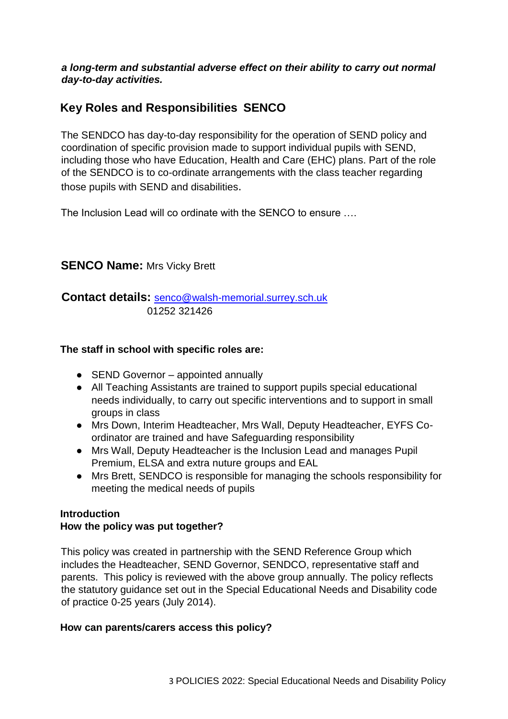### *a long-term and substantial adverse effect on their ability to carry out normal day-to-day activities.*

# **Key Roles and Responsibilities SENCO**

The SENDCO has day-to-day responsibility for the operation of SEND policy and coordination of specific provision made to support individual pupils with SEND, including those who have Education, Health and Care (EHC) plans. Part of the role of the SENDCO is to co-ordinate arrangements with the class teacher regarding those pupils with SEND and disabilities.

The Inclusion Lead will co ordinate with the SENCO to ensure ….

### **SENCO Name: Mrs Vicky Brett**

**Contact details:** senco@walsh-memorial.surrey.sch.uk 01252 321426

### **The staff in school with specific roles are:**

- SEND Governor appointed annually
- All Teaching Assistants are trained to support pupils special educational needs individually, to carry out specific interventions and to support in small groups in class
- Mrs Down, Interim Headteacher, Mrs Wall, Deputy Headteacher, EYFS Coordinator are trained and have Safeguarding responsibility
- Mrs Wall, Deputy Headteacher is the Inclusion Lead and manages Pupil Premium, ELSA and extra nuture groups and EAL
- Mrs Brett, SENDCO is responsible for managing the schools responsibility for meeting the medical needs of pupils

### **Introduction**

### **How the policy was put together?**

This policy was created in partnership with the SEND Reference Group which includes the Headteacher, SEND Governor, SENDCO, representative staff and parents. This policy is reviewed with the above group annually. The policy reflects the statutory guidance set out in the Special Educational Needs and Disability code of practice 0-25 years (July 2014).

### **How can parents/carers access this policy?**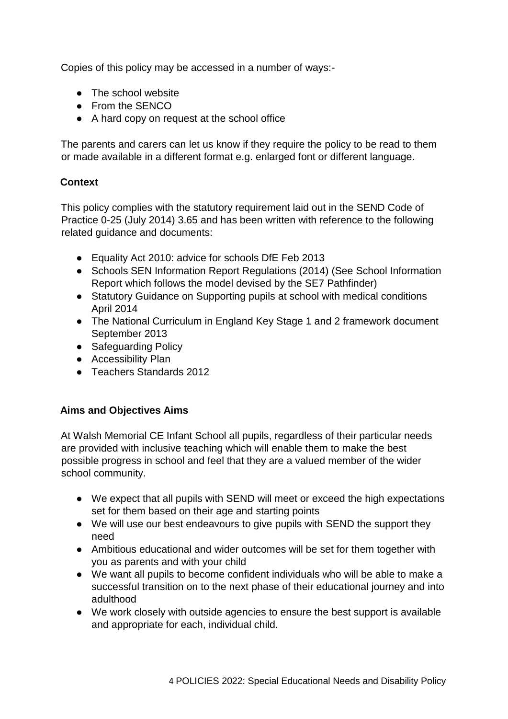Copies of this policy may be accessed in a number of ways:-

- The school website
- From the SENCO
- A hard copy on request at the school office

The parents and carers can let us know if they require the policy to be read to them or made available in a different format e.g. enlarged font or different language.

### **Context**

This policy complies with the statutory requirement laid out in the SEND Code of Practice 0-25 (July 2014) 3.65 and has been written with reference to the following related guidance and documents:

- Equality Act 2010: advice for schools DfE Feb 2013
- Schools SEN Information Report Regulations (2014) (See School Information Report which follows the model devised by the SE7 Pathfinder)
- Statutory Guidance on Supporting pupils at school with medical conditions April 2014
- The National Curriculum in England Key Stage 1 and 2 framework document September 2013
- Safeguarding Policy
- Accessibility Plan
- Teachers Standards 2012

### **Aims and Objectives Aims**

At Walsh Memorial CE Infant School all pupils, regardless of their particular needs are provided with inclusive teaching which will enable them to make the best possible progress in school and feel that they are a valued member of the wider school community.

- We expect that all pupils with SEND will meet or exceed the high expectations set for them based on their age and starting points
- We will use our best endeavours to give pupils with SEND the support they need
- Ambitious educational and wider outcomes will be set for them together with you as parents and with your child
- We want all pupils to become confident individuals who will be able to make a successful transition on to the next phase of their educational journey and into adulthood
- We work closely with outside agencies to ensure the best support is available and appropriate for each, individual child.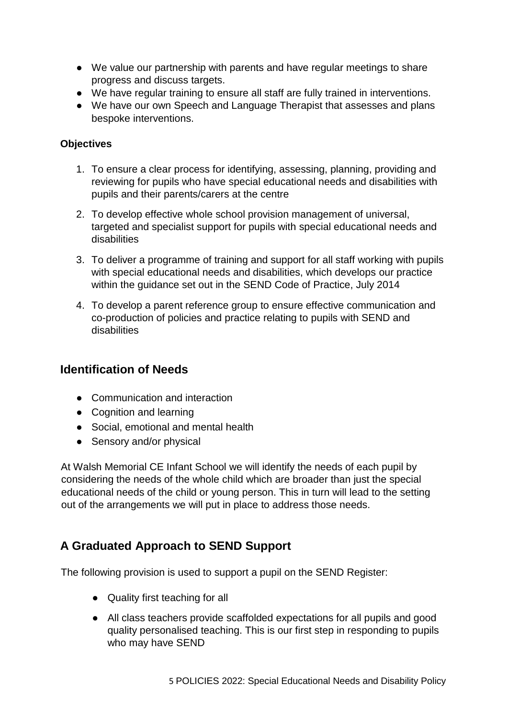- We value our partnership with parents and have regular meetings to share progress and discuss targets.
- We have regular training to ensure all staff are fully trained in interventions.
- We have our own Speech and Language Therapist that assesses and plans bespoke interventions.

### **Objectives**

- 1. To ensure a clear process for identifying, assessing, planning, providing and reviewing for pupils who have special educational needs and disabilities with pupils and their parents/carers at the centre
- 2. To develop effective whole school provision management of universal, targeted and specialist support for pupils with special educational needs and disabilities
- 3. To deliver a programme of training and support for all staff working with pupils with special educational needs and disabilities, which develops our practice within the guidance set out in the SEND Code of Practice, July 2014
- 4. To develop a parent reference group to ensure effective communication and co-production of policies and practice relating to pupils with SEND and disabilities

### **Identification of Needs**

- Communication and interaction
- Cognition and learning
- Social, emotional and mental health
- Sensory and/or physical

At Walsh Memorial CE Infant School we will identify the needs of each pupil by considering the needs of the whole child which are broader than just the special educational needs of the child or young person. This in turn will lead to the setting out of the arrangements we will put in place to address those needs.

# **A Graduated Approach to SEND Support**

The following provision is used to support a pupil on the SEND Register:

- Quality first teaching for all
- All class teachers provide scaffolded expectations for all pupils and good quality personalised teaching. This is our first step in responding to pupils who may have SEND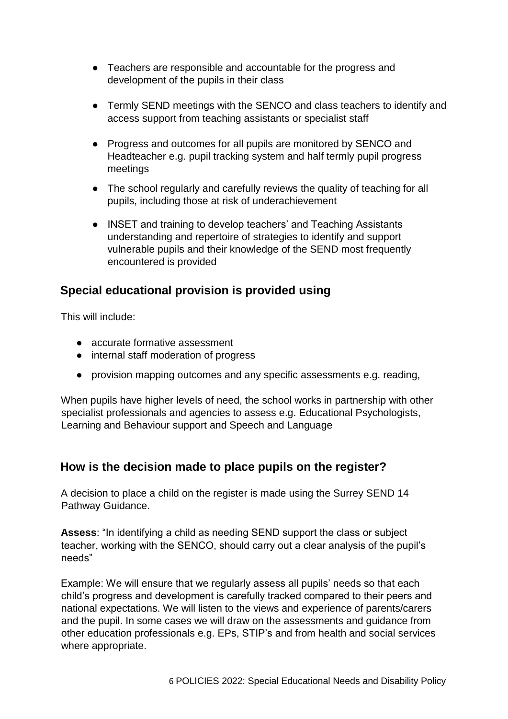- Teachers are responsible and accountable for the progress and development of the pupils in their class
- Termly SEND meetings with the SENCO and class teachers to identify and access support from teaching assistants or specialist staff
- Progress and outcomes for all pupils are monitored by SENCO and Headteacher e.g. pupil tracking system and half termly pupil progress meetings
- The school regularly and carefully reviews the quality of teaching for all pupils, including those at risk of underachievement
- INSET and training to develop teachers' and Teaching Assistants understanding and repertoire of strategies to identify and support vulnerable pupils and their knowledge of the SEND most frequently encountered is provided

## **Special educational provision is provided using**

This will include:

- accurate formative assessment
- internal staff moderation of progress
- provision mapping outcomes and any specific assessments e.g. reading,

When pupils have higher levels of need, the school works in partnership with other specialist professionals and agencies to assess e.g. Educational Psychologists, Learning and Behaviour support and Speech and Language

# **How is the decision made to place pupils on the register?**

A decision to place a child on the register is made using the Surrey SEND 14 Pathway Guidance.

**Assess**: "In identifying a child as needing SEND support the class or subject teacher, working with the SENCO, should carry out a clear analysis of the pupil's needs"

Example: We will ensure that we regularly assess all pupils' needs so that each child's progress and development is carefully tracked compared to their peers and national expectations. We will listen to the views and experience of parents/carers and the pupil. In some cases we will draw on the assessments and guidance from other education professionals e.g. EPs, STIP's and from health and social services where appropriate.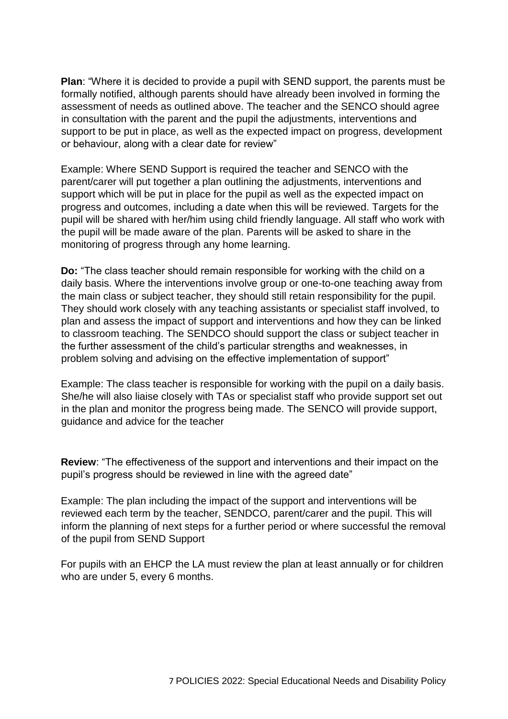**Plan**: "Where it is decided to provide a pupil with SEND support, the parents must be formally notified, although parents should have already been involved in forming the assessment of needs as outlined above. The teacher and the SENCO should agree in consultation with the parent and the pupil the adjustments, interventions and support to be put in place, as well as the expected impact on progress, development or behaviour, along with a clear date for review"

Example: Where SEND Support is required the teacher and SENCO with the parent/carer will put together a plan outlining the adjustments, interventions and support which will be put in place for the pupil as well as the expected impact on progress and outcomes, including a date when this will be reviewed. Targets for the pupil will be shared with her/him using child friendly language. All staff who work with the pupil will be made aware of the plan. Parents will be asked to share in the monitoring of progress through any home learning.

**Do:** "The class teacher should remain responsible for working with the child on a daily basis. Where the interventions involve group or one-to-one teaching away from the main class or subject teacher, they should still retain responsibility for the pupil. They should work closely with any teaching assistants or specialist staff involved, to plan and assess the impact of support and interventions and how they can be linked to classroom teaching. The SENDCO should support the class or subject teacher in the further assessment of the child's particular strengths and weaknesses, in problem solving and advising on the effective implementation of support"

Example: The class teacher is responsible for working with the pupil on a daily basis. She/he will also liaise closely with TAs or specialist staff who provide support set out in the plan and monitor the progress being made. The SENCO will provide support, guidance and advice for the teacher

**Review**: "The effectiveness of the support and interventions and their impact on the pupil's progress should be reviewed in line with the agreed date"

Example: The plan including the impact of the support and interventions will be reviewed each term by the teacher, SENDCO, parent/carer and the pupil. This will inform the planning of next steps for a further period or where successful the removal of the pupil from SEND Support

For pupils with an EHCP the LA must review the plan at least annually or for children who are under 5, every 6 months.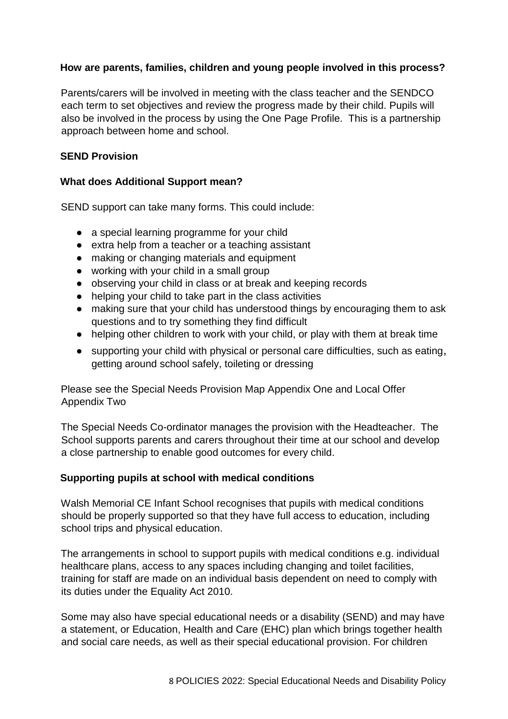### **How are parents, families, children and young people involved in this process?**

Parents/carers will be involved in meeting with the class teacher and the SENDCO each term to set objectives and review the progress made by their child. Pupils will also be involved in the process by using the One Page Profile. This is a partnership approach between home and school.

### **SEND Provision**

#### **What does Additional Support mean?**

SEND support can take many forms. This could include:

- a special learning programme for your child
- extra help from a teacher or a teaching assistant
- making or changing materials and equipment
- working with your child in a small group
- observing your child in class or at break and keeping records
- helping your child to take part in the class activities
- making sure that your child has understood things by encouraging them to ask questions and to try something they find difficult
- helping other children to work with your child, or play with them at break time
- supporting your child with physical or personal care difficulties, such as eating, getting around school safely, toileting or dressing

Please see the Special Needs Provision Map Appendix One and Local Offer Appendix Two

The Special Needs Co-ordinator manages the provision with the Headteacher. The School supports parents and carers throughout their time at our school and develop a close partnership to enable good outcomes for every child.

### **Supporting pupils at school with medical conditions**

Walsh Memorial CE Infant School recognises that pupils with medical conditions should be properly supported so that they have full access to education, including school trips and physical education.

The arrangements in school to support pupils with medical conditions e.g. individual healthcare plans, access to any spaces including changing and toilet facilities, training for staff are made on an individual basis dependent on need to comply with its duties under the Equality Act 2010.

Some may also have special educational needs or a disability (SEND) and may have a statement, or Education, Health and Care (EHC) plan which brings together health and social care needs, as well as their special educational provision. For children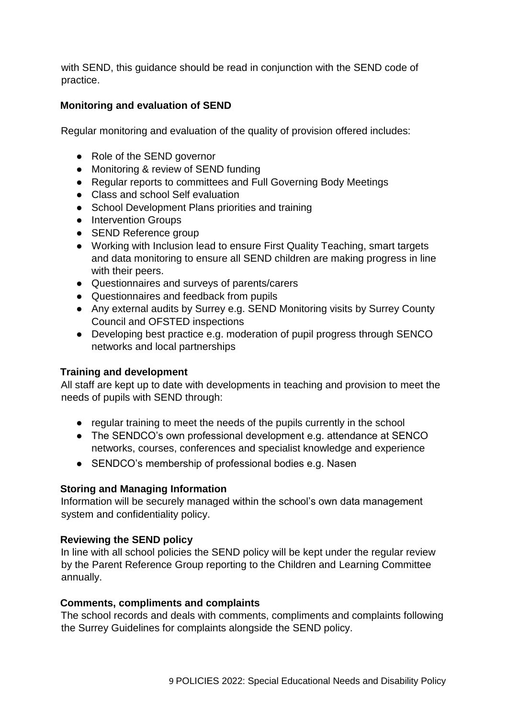with SEND, this guidance should be read in conjunction with the SEND code of practice.

### **Monitoring and evaluation of SEND**

Regular monitoring and evaluation of the quality of provision offered includes:

- Role of the SEND governor
- Monitoring & review of SEND funding
- Regular reports to committees and Full Governing Body Meetings
- Class and school Self evaluation
- School Development Plans priorities and training
- Intervention Groups
- SEND Reference group
- Working with Inclusion lead to ensure First Quality Teaching, smart targets and data monitoring to ensure all SEND children are making progress in line with their peers.
- Questionnaires and surveys of parents/carers
- Questionnaires and feedback from pupils
- Any external audits by Surrey e.g. SEND Monitoring visits by Surrey County Council and OFSTED inspections
- Developing best practice e.g. moderation of pupil progress through SENCO networks and local partnerships

### **Training and development**

All staff are kept up to date with developments in teaching and provision to meet the needs of pupils with SEND through:

- regular training to meet the needs of the pupils currently in the school
- The SENDCO's own professional development e.g. attendance at SENCO networks, courses, conferences and specialist knowledge and experience
- SENDCO's membership of professional bodies e.g. Nasen

### **Storing and Managing Information**

Information will be securely managed within the school's own data management system and confidentiality policy.

### **Reviewing the SEND policy**

In line with all school policies the SEND policy will be kept under the regular review by the Parent Reference Group reporting to the Children and Learning Committee annually.

### **Comments, compliments and complaints**

The school records and deals with comments, compliments and complaints following the Surrey Guidelines for complaints alongside the SEND policy.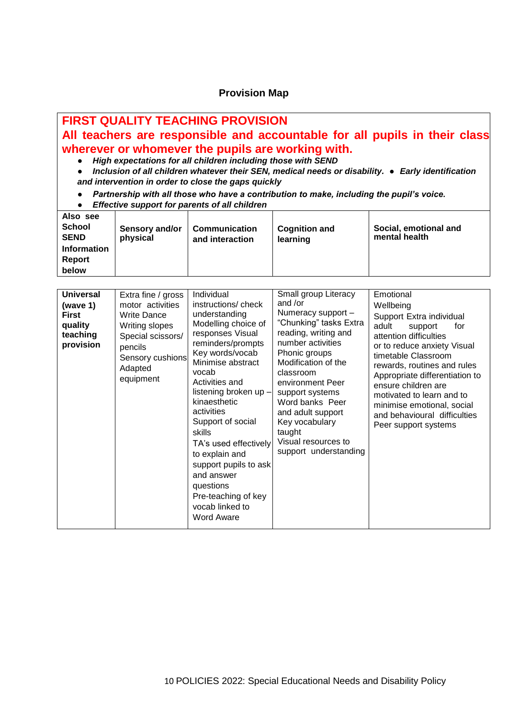#### **Provision Map**

## **FIRST QUALITY TEACHING PROVISION All teachers are responsible and accountable for all pupils in their class wherever or whomever the pupils are working with.**

- *High expectations for all children including those with SEND*
- *Inclusion of all children whatever their SEN, medical needs or disability. Early identification and intervention in order to close the gaps quickly*
- *Partnership with all those who have a contribution to make, including the pupil's voice.*
- *Effective support for parents of all children*

| Also see<br><b>School</b><br><b>SEND</b><br><b>Information</b><br>Report<br>below | Sensory and/or<br>physical | <b>Communication</b><br>and interaction | <b>Cognition and</b><br>learning | Social, emotional and<br>mental health |
|-----------------------------------------------------------------------------------|----------------------------|-----------------------------------------|----------------------------------|----------------------------------------|
|-----------------------------------------------------------------------------------|----------------------------|-----------------------------------------|----------------------------------|----------------------------------------|

| <b>Universal</b><br>Extra fine / gross<br>motor activities<br>(wave 1)<br><b>Write Dance</b><br><b>First</b><br>quality<br>Writing slopes<br>teaching<br>Special scissors/<br>provision<br>pencils<br>Sensory cushions<br>Adapted<br>equipment | Individual<br>instructions/check<br>understanding<br>Modelling choice of<br>responses Visual<br>reminders/prompts<br>Key words/vocab<br>Minimise abstract<br>vocab<br>Activities and<br>listening broken up -<br>kinaesthetic<br>activities<br>Support of social<br>skills<br>TA's used effectively<br>to explain and<br>support pupils to ask<br>and answer<br>questions<br>Pre-teaching of key<br>vocab linked to<br><b>Word Aware</b> | Small group Literacy<br>and /or<br>Numeracy support -<br>"Chunking" tasks Extra<br>reading, writing and<br>number activities<br>Phonic groups<br>Modification of the<br>classroom<br>environment Peer<br>support systems<br>Word banks Peer<br>and adult support<br>Key vocabulary<br>taught<br>Visual resources to<br>support understanding | Emotional<br>Wellbeing<br>Support Extra individual<br>adult<br>support<br>tor<br>attention difficulties<br>or to reduce anxiety Visual<br>timetable Classroom<br>rewards, routines and rules<br>Appropriate differentiation to<br>ensure children are<br>motivated to learn and to<br>minimise emotional, social<br>and behavioural difficulties<br>Peer support systems |
|------------------------------------------------------------------------------------------------------------------------------------------------------------------------------------------------------------------------------------------------|------------------------------------------------------------------------------------------------------------------------------------------------------------------------------------------------------------------------------------------------------------------------------------------------------------------------------------------------------------------------------------------------------------------------------------------|----------------------------------------------------------------------------------------------------------------------------------------------------------------------------------------------------------------------------------------------------------------------------------------------------------------------------------------------|--------------------------------------------------------------------------------------------------------------------------------------------------------------------------------------------------------------------------------------------------------------------------------------------------------------------------------------------------------------------------|
|------------------------------------------------------------------------------------------------------------------------------------------------------------------------------------------------------------------------------------------------|------------------------------------------------------------------------------------------------------------------------------------------------------------------------------------------------------------------------------------------------------------------------------------------------------------------------------------------------------------------------------------------------------------------------------------------|----------------------------------------------------------------------------------------------------------------------------------------------------------------------------------------------------------------------------------------------------------------------------------------------------------------------------------------------|--------------------------------------------------------------------------------------------------------------------------------------------------------------------------------------------------------------------------------------------------------------------------------------------------------------------------------------------------------------------------|